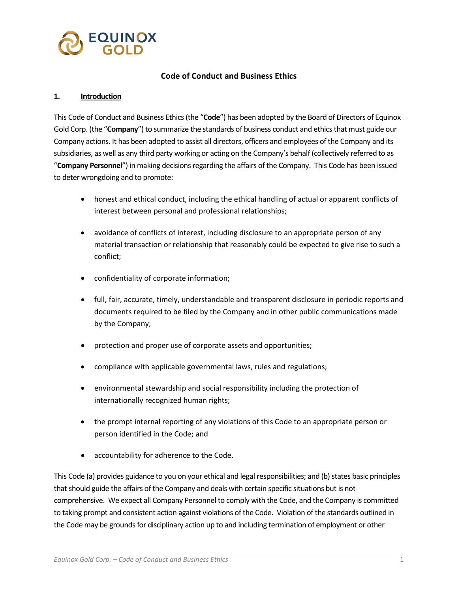

### **Code of Conduct and Business Ethics**

#### **1. Introduction**

This Code of Conduct and Business Ethics (the "**Code**") has been adopted by the Board of Directors of Equinox Gold Corp. (the "**Company**") to summarize the standards of business conduct and ethics that must guide our Company actions. It has been adopted to assist all directors, officers and employees of the Company and its subsidiaries, as well as any third party working or acting on the Company's behalf (collectively referred to as "**Company Personnel**") in making decisions regarding the affairs of the Company. This Code has been issued to deter wrongdoing and to promote:

- honest and ethical conduct, including the ethical handling of actual or apparent conflicts of interest between personal and professional relationships;
- avoidance of conflicts of interest, including disclosure to an appropriate person of any material transaction or relationship that reasonably could be expected to give rise to such a conflict;
- confidentiality of corporate information;
- full, fair, accurate, timely, understandable and transparent disclosure in periodic reports and documents required to be filed by the Company and in other public communications made by the Company;
- protection and proper use of corporate assets and opportunities;
- compliance with applicable governmental laws, rules and regulations;
- environmental stewardship and social responsibility including the protection of internationally recognized human rights;
- the prompt internal reporting of any violations of this Code to an appropriate person or person identified in the Code; and
- accountability for adherence to the Code.

This Code (a) provides guidance to you on your ethical and legal responsibilities; and (b) states basic principles that should guide the affairs of the Company and deals with certain specific situations but is not comprehensive. We expect all Company Personnel to comply with the Code, and the Company is committed to taking prompt and consistent action against violations of the Code. Violation of the standards outlined in the Code may be grounds for disciplinary action up to and including termination of employment or other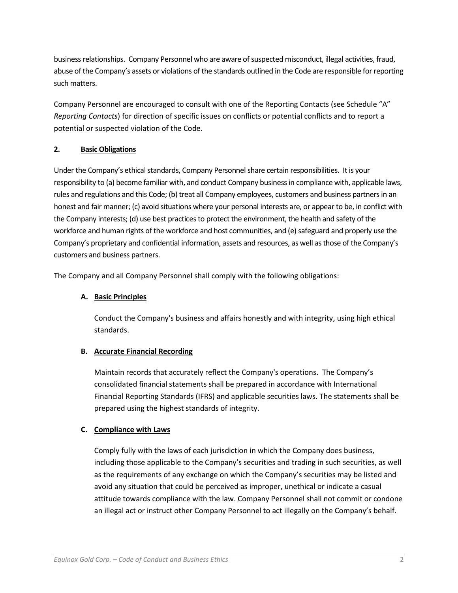business relationships. Company Personnel who are aware of suspected misconduct, illegal activities, fraud, abuse of the Company's assets or violations of the standards outlined in the Code are responsible for reporting such matters.

Company Personnel are encouraged to consult with one of the Reporting Contacts (see Schedule "A" *Reporting Contacts*) for direction of specific issues on conflicts or potential conflicts and to report a potential or suspected violation of the Code.

## **2. Basic Obligations**

Under the Company's ethical standards, Company Personnel share certain responsibilities. It is your responsibility to (a) become familiar with, and conduct Company business in compliance with, applicable laws, rules and regulations and this Code; (b) treat all Company employees, customers and business partners in an honest and fair manner; (c) avoid situations where your personal interests are, or appear to be, in conflict with the Company interests; (d) use best practices to protect the environment, the health and safety of the workforce and human rights of the workforce and host communities, and (e) safeguard and properly use the Company's proprietary and confidential information, assets and resources, as well as those of the Company's customers and business partners.

The Company and all Company Personnel shall comply with the following obligations:

## **A. Basic Principles**

Conduct the Company's business and affairs honestly and with integrity, using high ethical standards.

### **B. Accurate Financial Recording**

Maintain records that accurately reflect the Company's operations. The Company's consolidated financial statements shall be prepared in accordance with International Financial Reporting Standards (IFRS) and applicable securities laws. The statements shall be prepared using the highest standards of integrity.

### **C. Compliance with Laws**

Comply fully with the laws of each jurisdiction in which the Company does business, including those applicable to the Company's securities and trading in such securities, as well as the requirements of any exchange on which the Company's securities may be listed and avoid any situation that could be perceived as improper, unethical or indicate a casual attitude towards compliance with the law. Company Personnel shall not commit or condone an illegal act or instruct other Company Personnel to act illegally on the Company's behalf.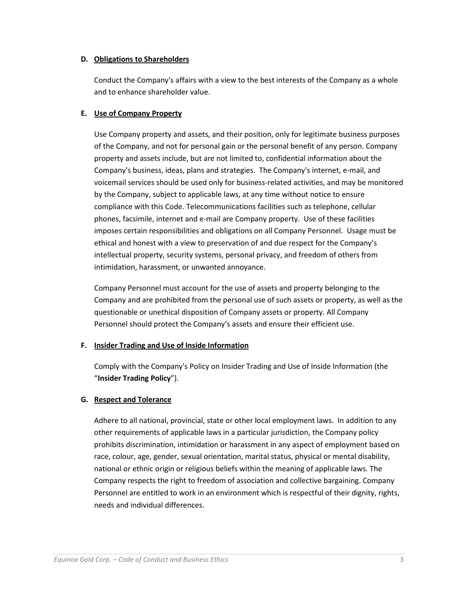### **D. Obligations to Shareholders**

Conduct the Company's affairs with a view to the best interests of the Company as a whole and to enhance shareholder value.

## **E. Use of Company Property**

Use Company property and assets, and their position, only for legitimate business purposes of the Company, and not for personal gain or the personal benefit of any person. Company property and assets include, but are not limited to, confidential information about the Company's business, ideas, plans and strategies. The Company's internet, e-mail, and voicemail services should be used only for business-related activities, and may be monitored by the Company, subject to applicable laws, at any time without notice to ensure compliance with this Code. Telecommunications facilities such as telephone, cellular phones, facsimile, internet and e-mail are Company property. Use of these facilities imposes certain responsibilities and obligations on all Company Personnel. Usage must be ethical and honest with a view to preservation of and due respect for the Company's intellectual property, security systems, personal privacy, and freedom of others from intimidation, harassment, or unwanted annoyance.

Company Personnel must account for the use of assets and property belonging to the Company and are prohibited from the personal use of such assets or property, as well as the questionable or unethical disposition of Company assets or property. All Company Personnel should protect the Company's assets and ensure their efficient use.

### **F. Insider Trading and Use of Inside Information**

Comply with the Company's Policy on Insider Trading and Use of Inside Information (the "**Insider Trading Policy**").

# **G. Respect and Tolerance**

Adhere to all national, provincial, state or other local employment laws. In addition to any other requirements of applicable laws in a particular jurisdiction, the Company policy prohibits discrimination, intimidation or harassment in any aspect of employment based on race, colour, age, gender, sexual orientation, marital status, physical or mental disability, national or ethnic origin or religious beliefs within the meaning of applicable laws. The Company respects the right to freedom of association and collective bargaining. Company Personnel are entitled to work in an environment which is respectful of their dignity, rights, needs and individual differences.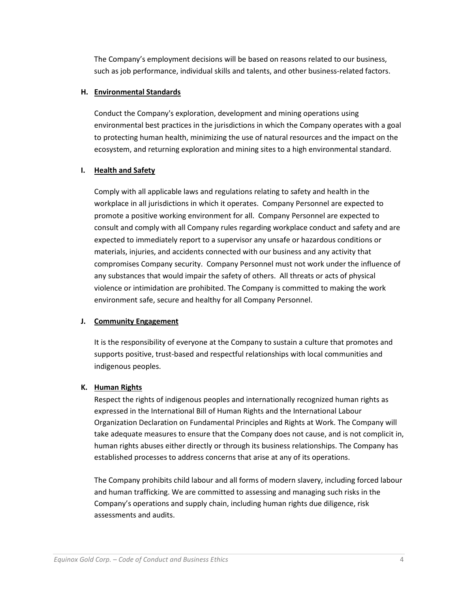The Company's employment decisions will be based on reasons related to our business, such as job performance, individual skills and talents, and other business-related factors.

### **H. Environmental Standards**

Conduct the Company's exploration, development and mining operations using environmental best practices in the jurisdictions in which the Company operates with a goal to protecting human health, minimizing the use of natural resources and the impact on the ecosystem, and returning exploration and mining sites to a high environmental standard.

### **I. Health and Safety**

Comply with all applicable laws and regulations relating to safety and health in the workplace in all jurisdictions in which it operates. Company Personnel are expected to promote a positive working environment for all. Company Personnel are expected to consult and comply with all Company rules regarding workplace conduct and safety and are expected to immediately report to a supervisor any unsafe or hazardous conditions or materials, injuries, and accidents connected with our business and any activity that compromises Company security. Company Personnel must not work under the influence of any substances that would impair the safety of others. All threats or acts of physical violence or intimidation are prohibited. The Company is committed to making the work environment safe, secure and healthy for all Company Personnel.

### **J. Community Engagement**

It is the responsibility of everyone at the Company to sustain a culture that promotes and supports positive, trust-based and respectful relationships with local communities and indigenous peoples.

#### **K. Human Rights**

Respect the rights of indigenous peoples and internationally recognized human rights as expressed in the International Bill of Human Rights and the International Labour Organization Declaration on Fundamental Principles and Rights at Work. The Company will take adequate measures to ensure that the Company does not cause, and is not complicit in, human rights abuses either directly or through its business relationships. The Company has established processes to address concerns that arise at any of its operations.

The Company prohibits child labour and all forms of modern slavery, including forced labour and human trafficking. We are committed to assessing and managing such risks in the Company's operations and supply chain, including human rights due diligence, risk assessments and audits.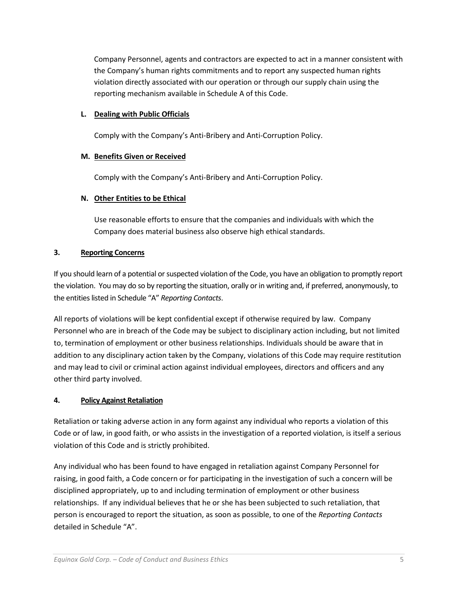Company Personnel, agents and contractors are expected to act in a manner consistent with the Company's human rights commitments and to report any suspected human rights violation directly associated with our operation or through our supply chain using the reporting mechanism available in Schedule A of this Code.

### **L. Dealing with Public Officials**

Comply with the Company's Anti-Bribery and Anti-Corruption Policy.

### **M. Benefits Given or Received**

Comply with the Company's Anti-Bribery and Anti-Corruption Policy.

## **N. Other Entities to be Ethical**

Use reasonable efforts to ensure that the companies and individuals with which the Company does material business also observe high ethical standards.

## **3. Reporting Concerns**

If you should learn of a potential or suspected violation of the Code, you have an obligation to promptly report the violation. You may do so by reporting the situation, orally or in writing and, if preferred, anonymously, to the entities listed in Schedule "A" *Reporting Contacts*.

All reports of violations will be kept confidential except if otherwise required by law. Company Personnel who are in breach of the Code may be subject to disciplinary action including, but not limited to, termination of employment or other business relationships. Individuals should be aware that in addition to any disciplinary action taken by the Company, violations of this Code may require restitution and may lead to civil or criminal action against individual employees, directors and officers and any other third party involved.

# **4. Policy Against Retaliation**

Retaliation or taking adverse action in any form against any individual who reports a violation of this Code or of law, in good faith, or who assists in the investigation of a reported violation, is itself a serious violation of this Code and is strictly prohibited.

Any individual who has been found to have engaged in retaliation against Company Personnel for raising, in good faith, a Code concern or for participating in the investigation of such a concern will be disciplined appropriately, up to and including termination of employment or other business relationships. If any individual believes that he or she has been subjected to such retaliation, that person is encouraged to report the situation, as soon as possible, to one of the *Reporting Contacts* detailed in Schedule "A".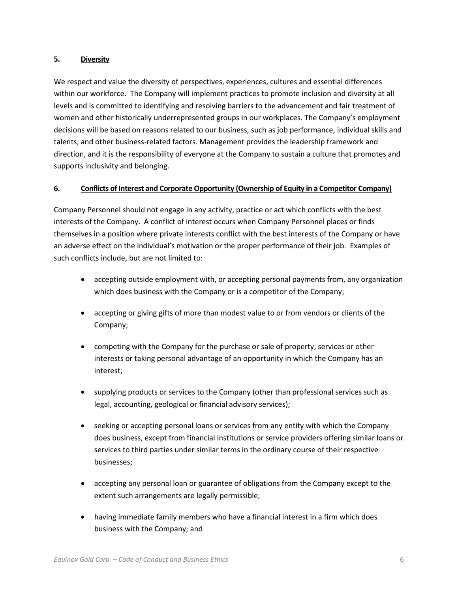### **5. Diversity**

We respect and value the diversity of perspectives, experiences, cultures and essential differences within our workforce. The Company will implement practices to promote inclusion and diversity at all levels and is committed to identifying and resolving barriers to the advancement and fair treatment of women and other historically underrepresented groups in our workplaces. The Company's employment decisions will be based on reasons related to our business, such as job performance, individual skills and talents, and other business-related factors. Management provides the leadership framework and direction, and it is the responsibility of everyone at the Company to sustain a culture that promotes and supports inclusivity and belonging.

### **6. Conflicts of Interest and Corporate Opportunity (Ownership of Equity in a Competitor Company)**

Company Personnel should not engage in any activity, practice or act which conflicts with the best interests of the Company. A conflict of interest occurs when Company Personnel places or finds themselves in a position where private interests conflict with the best interests of the Company or have an adverse effect on the individual's motivation or the proper performance of their job. Examples of such conflicts include, but are not limited to:

- accepting outside employment with, or accepting personal payments from, any organization which does business with the Company or is a competitor of the Company;
- accepting or giving gifts of more than modest value to or from vendors or clients of the Company;
- competing with the Company for the purchase or sale of property, services or other interests or taking personal advantage of an opportunity in which the Company has an interest;
- supplying products or services to the Company (other than professional services such as legal, accounting, geological or financial advisory services);
- seeking or accepting personal loans or services from any entity with which the Company does business, except from financial institutions or service providers offering similar loans or services to third parties under similar terms in the ordinary course of their respective businesses;
- accepting any personal loan or guarantee of obligations from the Company except to the extent such arrangements are legally permissible;
- having immediate family members who have a financial interest in a firm which does business with the Company; and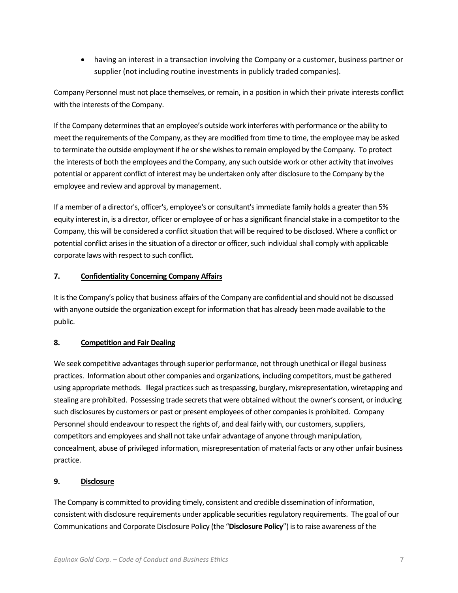• having an interest in a transaction involving the Company or a customer, business partner or supplier (not including routine investments in publicly traded companies).

Company Personnel must not place themselves, or remain, in a position in which their private interests conflict with the interests of the Company.

If the Company determines that an employee's outside work interferes with performance or the ability to meet the requirements of the Company, as they are modified from time to time, the employee may be asked to terminate the outside employment if he or she wishes to remain employed by the Company. To protect the interests of both the employees and the Company, any such outside work or other activity that involves potential or apparent conflict of interest may be undertaken only after disclosure to the Company by the employee and review and approval by management.

If a member of a director's, officer's, employee's or consultant's immediate family holds a greater than 5% equity interest in, is a director, officer or employee of or has a significant financial stake in a competitor to the Company, this will be considered a conflict situation that will be required to be disclosed. Where a conflict or potential conflict arises in the situation of a director or officer, such individual shall comply with applicable corporate laws with respect to such conflict.

## **7. Confidentiality Concerning Company Affairs**

It is the Company's policy that business affairs of the Company are confidential and should not be discussed with anyone outside the organization except for information that has already been made available to the public.

### **8. Competition and Fair Dealing**

We seek competitive advantages through superior performance, not through unethical or illegal business practices. Information about other companies and organizations, including competitors, must be gathered using appropriate methods. Illegal practices such as trespassing, burglary, misrepresentation, wiretapping and stealing are prohibited. Possessing trade secrets that were obtained without the owner's consent, or inducing such disclosures by customers or past or present employees of other companies is prohibited. Company Personnel should endeavour to respect the rights of, and deal fairly with, our customers, suppliers, competitors and employees and shall not take unfair advantage of anyone through manipulation, concealment, abuse of privileged information, misrepresentation of material facts or any other unfair business practice.

## **9. Disclosure**

The Company is committed to providing timely, consistent and credible dissemination of information, consistent with disclosure requirements under applicable securities regulatory requirements. The goal of our Communications and Corporate Disclosure Policy (the "**Disclosure Policy**") is to raise awareness of the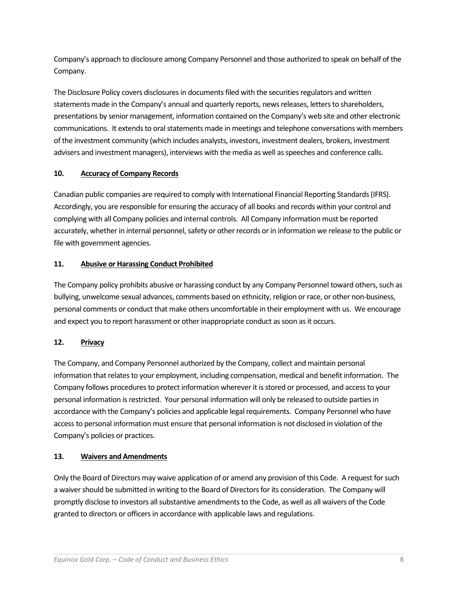Company's approach to disclosure among Company Personnel and those authorized to speak on behalf of the Company.

The Disclosure Policy covers disclosures in documents filed with the securities regulators and written statements made in the Company's annual and quarterly reports, news releases, letters to shareholders, presentations by senior management, information contained on the Company's web site and other electronic communications. It extends to oral statements made in meetings and telephone conversations with members of the investment community (which includes analysts, investors, investment dealers, brokers, investment advisers and investment managers), interviews with the media as well as speeches and conference calls.

### **10. Accuracy of Company Records**

Canadian public companies are required to comply with International Financial Reporting Standards (IFRS). Accordingly, you are responsible for ensuring the accuracy of all books and records within your control and complying with all Company policies and internal controls. All Company information must be reported accurately, whether in internal personnel, safety or other records or in information we release to the public or file with government agencies.

# **11. Abusive or Harassing Conduct Prohibited**

The Company policy prohibits abusive or harassing conduct by any Company Personnel toward others, such as bullying, unwelcome sexual advances, comments based on ethnicity, religion or race, or other non-business, personal comments or conduct that make others uncomfortable in their employment with us. We encourage and expect you to report harassment or other inappropriate conduct as soon as it occurs.

# **12. Privacy**

The Company, and Company Personnel authorized by the Company, collect and maintain personal information that relates to your employment, including compensation, medical and benefit information. The Company follows procedures to protect information wherever it is stored or processed, and access to your personal information is restricted. Your personal information will only be released to outside parties in accordance with the Company's policies and applicable legal requirements. Company Personnel who have access to personal information must ensure that personal information is not disclosed in violation of the Company's policies or practices.

### **13. Waivers and Amendments**

Only the Board of Directors may waive application of or amend any provision of this Code. A request for such a waiver should be submitted in writing to the Board of Directors for its consideration. The Company will promptly disclose to investors all substantive amendments to the Code, as well as all waivers of the Code granted to directors or officers in accordance with applicable laws and regulations.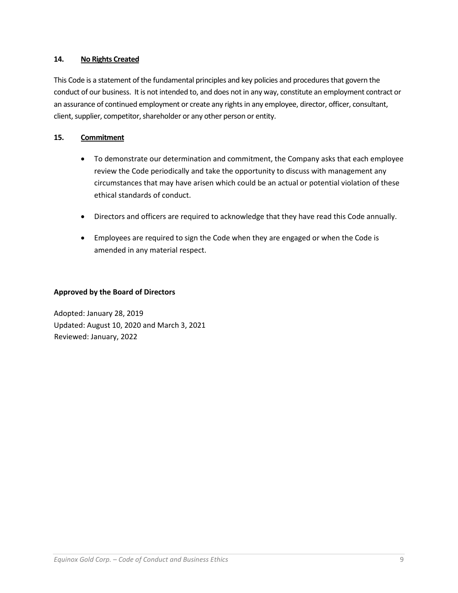### **14. No Rights Created**

This Code is a statement of the fundamental principles and key policies and procedures that govern the conduct of our business. It is not intended to, and does not in any way, constitute an employment contract or an assurance of continued employment or create any rights in any employee, director, officer, consultant, client, supplier, competitor, shareholder or any other person or entity.

### **15. Commitment**

- To demonstrate our determination and commitment, the Company asks that each employee review the Code periodically and take the opportunity to discuss with management any circumstances that may have arisen which could be an actual or potential violation of these ethical standards of conduct.
- Directors and officers are required to acknowledge that they have read this Code annually.
- Employees are required to sign the Code when they are engaged or when the Code is amended in any material respect.

### **Approved by the Board of Directors**

Adopted: January 28, 2019 Updated: August 10, 2020 and March 3, 2021 Reviewed: January, 2022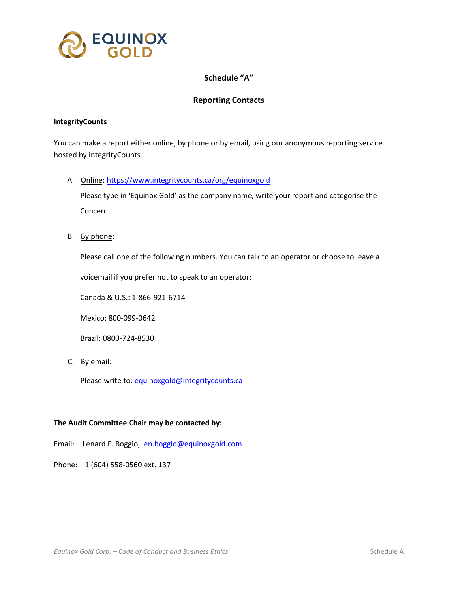

## **Schedule "A"**

### **Reporting Contacts**

#### **IntegrityCounts**

You can make a report either online, by phone or by email, using our anonymous reporting service hosted by IntegrityCounts.

A. Online:<https://www.integritycounts.ca/org/equinoxgold>

Please type in 'Equinox Gold' as the company name, write your report and categorise the Concern.

B. By phone:

Please call one of the following numbers. You can talk to an operator or choose to leave a

voicemail if you prefer not to speak to an operator:

Canada & U.S.: 1-866-921-6714

Mexico: 800-099-0642

Brazil: 0800-724-8530

C. By email:

Please write to: [equinoxgold@integritycounts.ca](mailto:equinoxgold@integritycounts.ca)

#### **The Audit Committee Chair may be contacted by:**

Email: Lenard F. Boggio[, len.boggio@equinoxgold.com](mailto:len.boggio@equinoxgold.com)

Phone: +1 (604) 558-0560 ext. 137